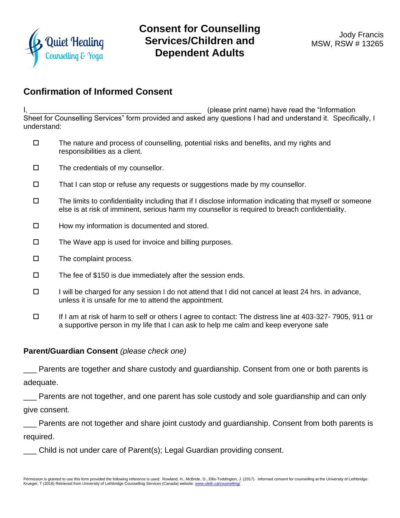

## **Consent for Counselling Services/Children and Dependent Adults**

## **Confirmation of Informed Consent**

I, the contraction of the contraction of the set of the set of the set of the "Information" (please print name) have read the "Information Sheet for Counselling Services" form provided and asked any questions I had and understand it. Specifically, I understand:

- $\square$  The nature and process of counselling, potential risks and benefits, and my rights and responsibilities as a client.
- $\square$  The credentials of my counsellor.
- $\Box$  That I can stop or refuse any requests or suggestions made by my counsellor.
- $\Box$  The limits to confidentiality including that if I disclose information indicating that myself or someone else is at risk of imminent, serious harm my counsellor is required to breach confidentiality.
- $\Box$  How my information is documented and stored.
- $\Box$  The Wave app is used for invoice and billing purposes.
- $\square$  The complaint process.
- $\square$  The fee of \$150 is due immediately after the session ends.
- $\Box$  I will be charged for any session I do not attend that I did not cancel at least 24 hrs. in advance, unless it is unsafe for me to attend the appointment.
- If I am at risk of harm to self or others I agree to contact: The distress line at 403-327- 7905, 911 or a supportive person in my life that I can ask to help me calm and keep everyone safe

## **Parent/Guardian Consent** *(please check one)*

Parents are together and share custody and guardianship. Consent from one or both parents is adequate.

Parents are not together, and one parent has sole custody and sole guardianship and can only give consent.

\_\_\_ Parents are not together and share joint custody and guardianship. Consent from both parents is required.

\_\_\_ Child is not under care of Parent(s); Legal Guardian providing consent.